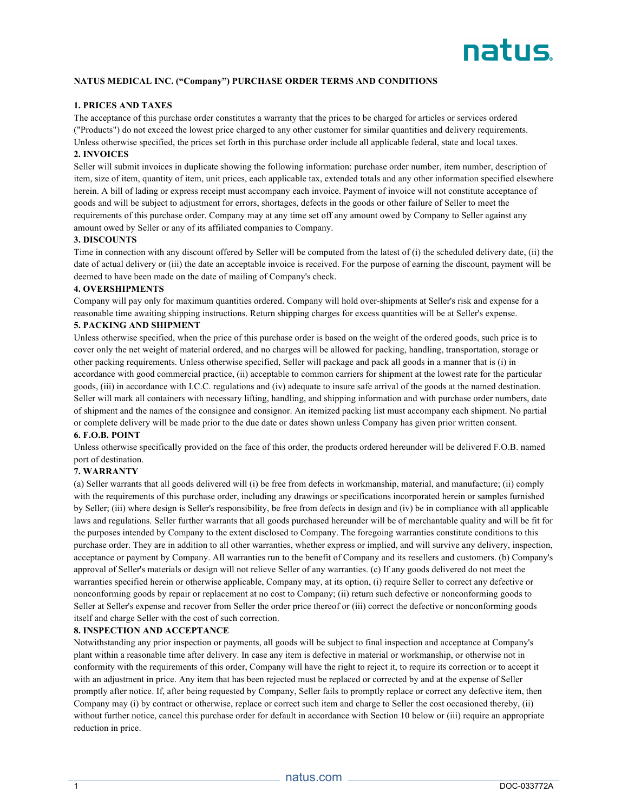

# **NATUS MEDICAL INC. ("Company") PURCHASE ORDER TERMS AND CONDITIONS**

# **1. PRICES AND TAXES**

The acceptance of this purchase order constitutes a warranty that the prices to be charged for articles or services ordered ("Products") do not exceed the lowest price charged to any other customer for similar quantities and delivery requirements. Unless otherwise specified, the prices set forth in this purchase order include all applicable federal, state and local taxes.

# **2. INVOICES**

Seller will submit invoices in duplicate showing the following information: purchase order number, item number, description of item, size of item, quantity of item, unit prices, each applicable tax, extended totals and any other information specified elsewhere herein. A bill of lading or express receipt must accompany each invoice. Payment of invoice will not constitute acceptance of goods and will be subject to adjustment for errors, shortages, defects in the goods or other failure of Seller to meet the requirements of this purchase order. Company may at any time set off any amount owed by Company to Seller against any amount owed by Seller or any of its affiliated companies to Company.

#### **3. DISCOUNTS**

Time in connection with any discount offered by Seller will be computed from the latest of (i) the scheduled delivery date, (ii) the date of actual delivery or (iii) the date an acceptable invoice is received. For the purpose of earning the discount, payment will be deemed to have been made on the date of mailing of Company's check.

#### **4. OVERSHIPMENTS**

Company will pay only for maximum quantities ordered. Company will hold over-shipments at Seller's risk and expense for a reasonable time awaiting shipping instructions. Return shipping charges for excess quantities will be at Seller's expense.

#### **5. PACKING AND SHIPMENT**

Unless otherwise specified, when the price of this purchase order is based on the weight of the ordered goods, such price is to cover only the net weight of material ordered, and no charges will be allowed for packing, handling, transportation, storage or other packing requirements. Unless otherwise specified, Seller will package and pack all goods in a manner that is (i) in accordance with good commercial practice, (ii) acceptable to common carriers for shipment at the lowest rate for the particular goods, (iii) in accordance with I.C.C. regulations and (iv) adequate to insure safe arrival of the goods at the named destination. Seller will mark all containers with necessary lifting, handling, and shipping information and with purchase order numbers, date of shipment and the names of the consignee and consignor. An itemized packing list must accompany each shipment. No partial or complete delivery will be made prior to the due date or dates shown unless Company has given prior written consent.

#### **6. F.O.B. POINT**

Unless otherwise specifically provided on the face of this order, the products ordered hereunder will be delivered F.O.B. named port of destination.

#### **7. WARRANTY**

(a) Seller warrants that all goods delivered will (i) be free from defects in workmanship, material, and manufacture; (ii) comply with the requirements of this purchase order, including any drawings or specifications incorporated herein or samples furnished by Seller; (iii) where design is Seller's responsibility, be free from defects in design and (iv) be in compliance with all applicable laws and regulations. Seller further warrants that all goods purchased hereunder will be of merchantable quality and will be fit for the purposes intended by Company to the extent disclosed to Company. The foregoing warranties constitute conditions to this purchase order. They are in addition to all other warranties, whether express or implied, and will survive any delivery, inspection, acceptance or payment by Company. All warranties run to the benefit of Company and its resellers and customers. (b) Company's approval of Seller's materials or design will not relieve Seller of any warranties. (c) If any goods delivered do not meet the warranties specified herein or otherwise applicable, Company may, at its option, (i) require Seller to correct any defective or nonconforming goods by repair or replacement at no cost to Company; (ii) return such defective or nonconforming goods to Seller at Seller's expense and recover from Seller the order price thereof or (iii) correct the defective or nonconforming goods itself and charge Seller with the cost of such correction.

#### **8. INSPECTION AND ACCEPTANCE**

Notwithstanding any prior inspection or payments, all goods will be subject to final inspection and acceptance at Company's plant within a reasonable time after delivery. In case any item is defective in material or workmanship, or otherwise not in conformity with the requirements of this order, Company will have the right to reject it, to require its correction or to accept it with an adjustment in price. Any item that has been rejected must be replaced or corrected by and at the expense of Seller promptly after notice. If, after being requested by Company, Seller fails to promptly replace or correct any defective item, then Company may (i) by contract or otherwise, replace or correct such item and charge to Seller the cost occasioned thereby, (ii) without further notice, cancel this purchase order for default in accordance with Section 10 below or (iii) require an appropriate reduction in price.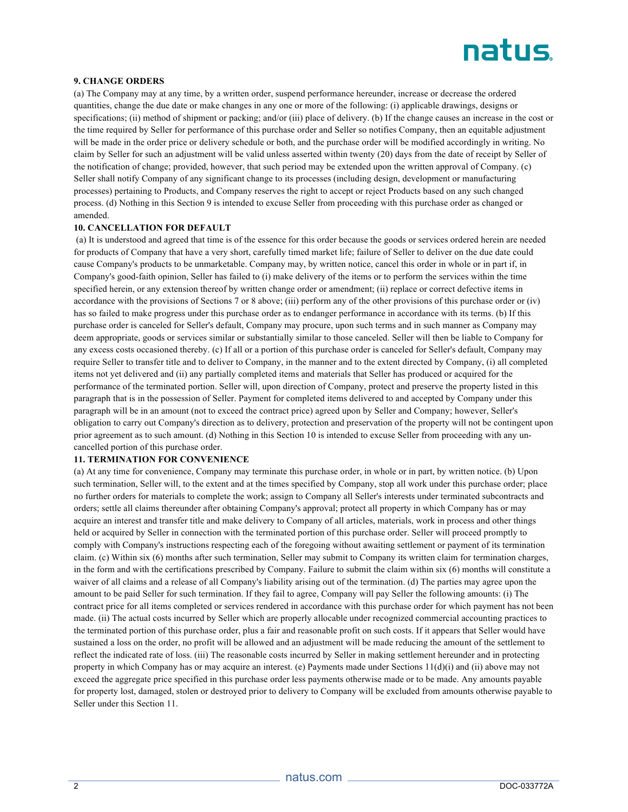

## **9. CHANGE ORDERS**

(a) The Company may at any time, by a written order, suspend performance hereunder, increase or decrease the ordered quantities, change the due date or make changes in any one or more of the following: (i) applicable drawings, designs or specifications; (ii) method of shipment or packing; and/or (iii) place of delivery. (b) If the change causes an increase in the cost or the time required by Seller for performance of this purchase order and Seller so notifies Company, then an equitable adjustment will be made in the order price or delivery schedule or both, and the purchase order will be modified accordingly in writing. No claim by Seller for such an adjustment will be valid unless asserted within twenty (20) days from the date of receipt by Seller of the notification of change; provided, however, that such period may be extended upon the written approval of Company. (c) Seller shall notify Company of any significant change to its processes (including design, development or manufacturing processes) pertaining to Products, and Company reserves the right to accept or reject Products based on any such changed process. (d) Nothing in this Section 9 is intended to excuse Seller from proceeding with this purchase order as changed or amended.

#### **10. CANCELLATION FOR DEFAULT**

(a) It is understood and agreed that time is of the essence for this order because the goods or services ordered herein are needed for products of Company that have a very short, carefully timed market life; failure of Seller to deliver on the due date could cause Company's products to be unmarketable. Company may, by written notice, cancel this order in whole or in part if, in Company's good-faith opinion, Seller has failed to (i) make delivery of the items or to perform the services within the time specified herein, or any extension thereof by written change order or amendment; (ii) replace or correct defective items in accordance with the provisions of Sections 7 or 8 above; (iii) perform any of the other provisions of this purchase order or (iv) has so failed to make progress under this purchase order as to endanger performance in accordance with its terms. (b) If this purchase order is canceled for Seller's default, Company may procure, upon such terms and in such manner as Company may deem appropriate, goods or services similar or substantially similar to those canceled. Seller will then be liable to Company for any excess costs occasioned thereby. (c) If all or a portion of this purchase order is canceled for Seller's default, Company may require Seller to transfer title and to deliver to Company, in the manner and to the extent directed by Company, (i) all completed items not yet delivered and (ii) any partially completed items and materials that Seller has produced or acquired for the performance of the terminated portion. Seller will, upon direction of Company, protect and preserve the property listed in this paragraph that is in the possession of Seller. Payment for completed items delivered to and accepted by Company under this paragraph will be in an amount (not to exceed the contract price) agreed upon by Seller and Company; however, Seller's obligation to carry out Company's direction as to delivery, protection and preservation of the property will not be contingent upon prior agreement as to such amount. (d) Nothing in this Section 10 is intended to excuse Seller from proceeding with any uncancelled portion of this purchase order.

#### **11. TERMINATION FOR CONVENIENCE**

(a) At any time for convenience, Company may terminate this purchase order, in whole or in part, by written notice. (b) Upon such termination, Seller will, to the extent and at the times specified by Company, stop all work under this purchase order; place no further orders for materials to complete the work; assign to Company all Seller's interests under terminated subcontracts and orders; settle all claims thereunder after obtaining Company's approval; protect all property in which Company has or may acquire an interest and transfer title and make delivery to Company of all articles, materials, work in process and other things held or acquired by Seller in connection with the terminated portion of this purchase order. Seller will proceed promptly to comply with Company's instructions respecting each of the foregoing without awaiting settlement or payment of its termination claim. (c) Within six (6) months after such termination, Seller may submit to Company its written claim for termination charges, in the form and with the certifications prescribed by Company. Failure to submit the claim within six (6) months will constitute a waiver of all claims and a release of all Company's liability arising out of the termination. (d) The parties may agree upon the amount to be paid Seller for such termination. If they fail to agree, Company will pay Seller the following amounts: (i) The contract price for all items completed or services rendered in accordance with this purchase order for which payment has not been made. (ii) The actual costs incurred by Seller which are properly allocable under recognized commercial accounting practices to the terminated portion of this purchase order, plus a fair and reasonable profit on such costs. If it appears that Seller would have sustained a loss on the order, no profit will be allowed and an adjustment will be made reducing the amount of the settlement to reflect the indicated rate of loss. (iii) The reasonable costs incurred by Seller in making settlement hereunder and in protecting property in which Company has or may acquire an interest. (e) Payments made under Sections 11(d)(i) and (ii) above may not exceed the aggregate price specified in this purchase order less payments otherwise made or to be made. Any amounts payable for property lost, damaged, stolen or destroyed prior to delivery to Company will be excluded from amounts otherwise payable to Seller under this Section 11.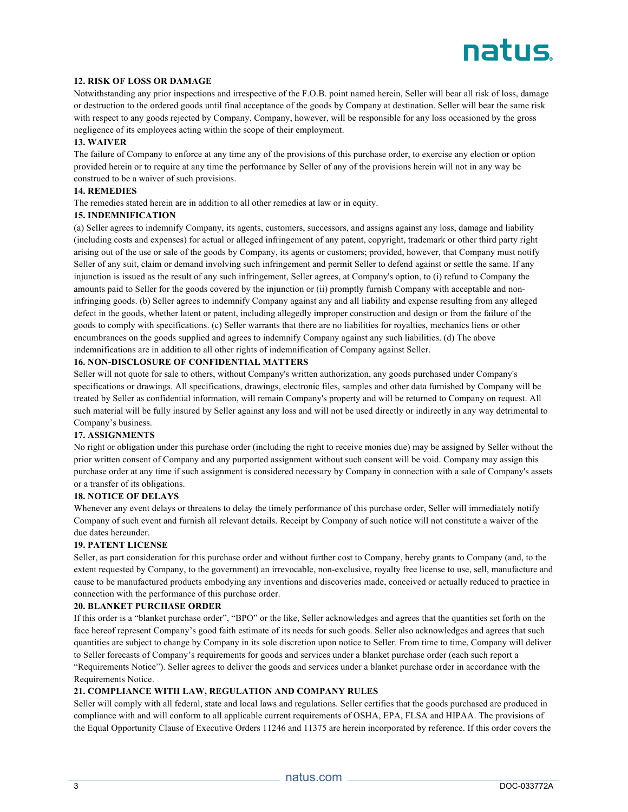# natus

# **12. RISK OF LOSS OR DAMAGE**

Notwithstanding any prior inspections and irrespective of the F.O.B. point named herein, Seller will bear all risk of loss, damage or destruction to the ordered goods until final acceptance of the goods by Company at destination. Seller will bear the same risk with respect to any goods rejected by Company. Company, however, will be responsible for any loss occasioned by the gross negligence of its employees acting within the scope of their employment.

#### **13. WAIVER**

The failure of Company to enforce at any time any of the provisions of this purchase order, to exercise any election or option provided herein or to require at any time the performance by Seller of any of the provisions herein will not in any way be construed to be a waiver of such provisions.

# **14. REMEDIES**

The remedies stated herein are in addition to all other remedies at law or in equity.

## **15. INDEMNIFICATION**

(a) Seller agrees to indemnify Company, its agents, customers, successors, and assigns against any loss, damage and liability (including costs and expenses) for actual or alleged infringement of any patent, copyright, trademark or other third party right arising out of the use or sale of the goods by Company, its agents or customers; provided, however, that Company must notify Seller of any suit, claim or demand involving such infringement and permit Seller to defend against or settle the same. If any injunction is issued as the result of any such infringement, Seller agrees, at Company's option, to (i) refund to Company the amounts paid to Seller for the goods covered by the injunction or (ii) promptly furnish Company with acceptable and noninfringing goods. (b) Seller agrees to indemnify Company against any and all liability and expense resulting from any alleged defect in the goods, whether latent or patent, including allegedly improper construction and design or from the failure of the goods to comply with specifications. (c) Seller warrants that there are no liabilities for royalties, mechanics liens or other encumbrances on the goods supplied and agrees to indemnify Company against any such liabilities. (d) The above indemnifications are in addition to all other rights of indemnification of Company against Seller.

#### **16. NON-DISCLOSURE OF CONFIDENTIAL MATTERS**

Seller will not quote for sale to others, without Company's written authorization, any goods purchased under Company's specifications or drawings. All specifications, drawings, electronic files, samples and other data furnished by Company will be treated by Seller as confidential information, will remain Company's property and will be returned to Company on request. All such material will be fully insured by Seller against any loss and will not be used directly or indirectly in any way detrimental to Company's business.

# **17. ASSIGNMENTS**

No right or obligation under this purchase order (including the right to receive monies due) may be assigned by Seller without the prior written consent of Company and any purported assignment without such consent will be void. Company may assign this purchase order at any time if such assignment is considered necessary by Company in connection with a sale of Company's assets or a transfer of its obligations.

#### **18. NOTICE OF DELAYS**

Whenever any event delays or threatens to delay the timely performance of this purchase order, Seller will immediately notify Company of such event and furnish all relevant details. Receipt by Company of such notice will not constitute a waiver of the due dates hereunder.

# **19. PATENT LICENSE**

Seller, as part consideration for this purchase order and without further cost to Company, hereby grants to Company (and, to the extent requested by Company, to the government) an irrevocable, non-exclusive, royalty free license to use, sell, manufacture and cause to be manufactured products embodying any inventions and discoveries made, conceived or actually reduced to practice in connection with the performance of this purchase order.

#### **20. BLANKET PURCHASE ORDER**

If this order is a "blanket purchase order", "BPO" or the like, Seller acknowledges and agrees that the quantities set forth on the face hereof represent Company's good faith estimate of its needs for such goods. Seller also acknowledges and agrees that such quantities are subject to change by Company in its sole discretion upon notice to Seller. From time to time, Company will deliver to Seller forecasts of Company's requirements for goods and services under a blanket purchase order (each such report a "Requirements Notice"). Seller agrees to deliver the goods and services under a blanket purchase order in accordance with the Requirements Notice.

# **21. COMPLIANCE WITH LAW, REGULATION AND COMPANY RULES**

Seller will comply with all federal, state and local laws and regulations. Seller certifies that the goods purchased are produced in compliance with and will conform to all applicable current requirements of OSHA, EPA, FLSA and HIPAA. The provisions of the Equal Opportunity Clause of Executive Orders 11246 and 11375 are herein incorporated by reference. If this order covers the